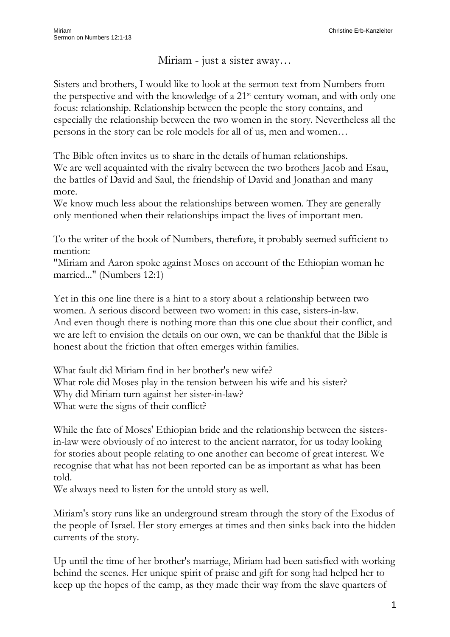Miriam - just a sister away…

Sisters and brothers, I would like to look at the sermon text from Numbers from the perspective and with the knowledge of a 21st century woman, and with only one focus: relationship. Relationship between the people the story contains, and especially the relationship between the two women in the story. Nevertheless all the persons in the story can be role models for all of us, men and women…

The Bible often invites us to share in the details of human relationships. We are well acquainted with the rivalry between the two brothers Jacob and Esau, the battles of David and Saul, the friendship of David and Jonathan and many more.

We know much less about the relationships between women. They are generally only mentioned when their relationships impact the lives of important men.

To the writer of the book of Numbers, therefore, it probably seemed sufficient to mention:

"Miriam and Aaron spoke against Moses on account of the Ethiopian woman he married..." (Numbers 12:1)

Yet in this one line there is a hint to a story about a relationship between two women. A serious discord between two women: in this case, sisters-in-law. And even though there is nothing more than this one clue about their conflict, and we are left to envision the details on our own, we can be thankful that the Bible is honest about the friction that often emerges within families.

What fault did Miriam find in her brother's new wife? What role did Moses play in the tension between his wife and his sister? Why did Miriam turn against her sister-in-law? What were the signs of their conflict?

While the fate of Moses' Ethiopian bride and the relationship between the sistersin-law were obviously of no interest to the ancient narrator, for us today looking for stories about people relating to one another can become of great interest. We recognise that what has not been reported can be as important as what has been told.

We always need to listen for the untold story as well.

Miriam's story runs like an underground stream through the story of the Exodus of the people of Israel. Her story emerges at times and then sinks back into the hidden currents of the story.

Up until the time of her brother's marriage, Miriam had been satisfied with working behind the scenes. Her unique spirit of praise and gift for song had helped her to keep up the hopes of the camp, as they made their way from the slave quarters of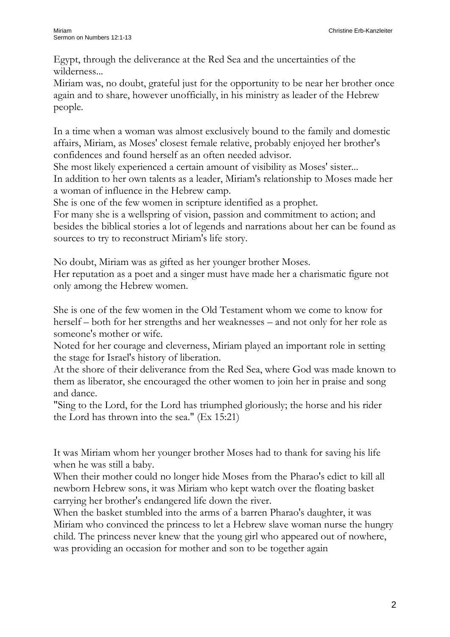Egypt, through the deliverance at the Red Sea and the uncertainties of the wilderness...

Miriam was, no doubt, grateful just for the opportunity to be near her brother once again and to share, however unofficially, in his ministry as leader of the Hebrew people.

In a time when a woman was almost exclusively bound to the family and domestic affairs, Miriam, as Moses' closest female relative, probably enjoyed her brother's confidences and found herself as an often needed advisor.

She most likely experienced a certain amount of visibility as Moses' sister...

In addition to her own talents as a leader, Miriam's relationship to Moses made her a woman of influence in the Hebrew camp.

She is one of the few women in scripture identified as a prophet.

For many she is a wellspring of vision, passion and commitment to action; and besides the biblical stories a lot of legends and narrations about her can be found as sources to try to reconstruct Miriam's life story.

No doubt, Miriam was as gifted as her younger brother Moses.

Her reputation as a poet and a singer must have made her a charismatic figure not only among the Hebrew women.

She is one of the few women in the Old Testament whom we come to know for herself – both for her strengths and her weaknesses – and not only for her role as someone's mother or wife.

Noted for her courage and cleverness, Miriam played an important role in setting the stage for Israel's history of liberation.

At the shore of their deliverance from the Red Sea, where God was made known to them as liberator, she encouraged the other women to join her in praise and song and dance.

"Sing to the Lord, for the Lord has triumphed gloriously; the horse and his rider the Lord has thrown into the sea." (Ex 15:21)

It was Miriam whom her younger brother Moses had to thank for saving his life when he was still a baby.

When their mother could no longer hide Moses from the Pharao's edict to kill all newborn Hebrew sons, it was Miriam who kept watch over the floating basket carrying her brother's endangered life down the river.

When the basket stumbled into the arms of a barren Pharao's daughter, it was Miriam who convinced the princess to let a Hebrew slave woman nurse the hungry child. The princess never knew that the young girl who appeared out of nowhere, was providing an occasion for mother and son to be together again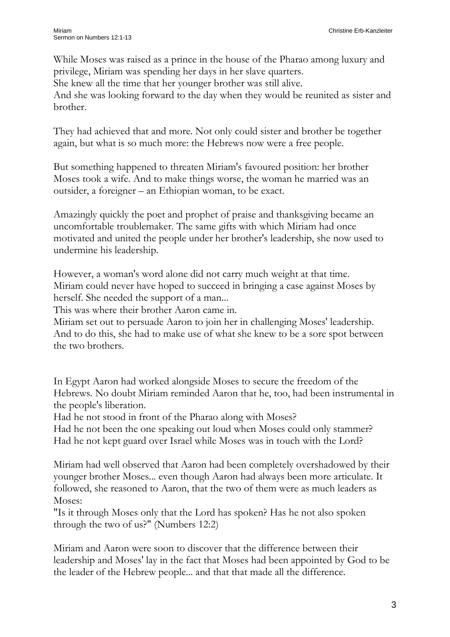While Moses was raised as a prince in the house of the Pharao among luxury and privilege, Miriam was spending her days in her slave quarters. She knew all the time that her younger brother was still alive. And she was looking forward to the day when they would be reunited as sister and brother.

They had achieved that and more. Not only could sister and brother be together again, but what is so much more: the Hebrews now were a free people.

But something happened to threaten Miriam's favoured position: her brother Moses took a wife. And to make things worse, the woman he married was an outsider, a foreigner – an Ethiopian woman, to be exact.

Amazingly quickly the poet and prophet of praise and thanksgiving became an uncomfortable troublemaker. The same gifts with which Miriam had once motivated and united the people under her brother's leadership, she now used to undermine his leadership.

However, a woman's word alone did not carry much weight at that time. Miriam could never have hoped to succeed in bringing a case against Moses by herself. She needed the support of a man...

This was where their brother Aaron came in.

Miriam set out to persuade Aaron to join her in challenging Moses' leadership. And to do this, she had to make use of what she knew to be a sore spot between the two brothers.

In Egypt Aaron had worked alongside Moses to secure the freedom of the Hebrews. No doubt Miriam reminded Aaron that he, too, had been instrumental in the people's liberation.

Had he not stood in front of the Pharao along with Moses?

Had he not been the one speaking out loud when Moses could only stammer? Had he not kept guard over Israel while Moses was in touch with the Lord?

Miriam had well observed that Aaron had been completely overshadowed by their younger brother Moses... even though Aaron had always been more articulate. It followed, she reasoned to Aaron, that the two of them were as much leaders as Moses:

"Is it through Moses only that the Lord has spoken? Has he not also spoken through the two of us?" (Numbers 12:2)

Miriam and Aaron were soon to discover that the difference between their leadership and Moses' lay in the fact that Moses had been appointed by God to be the leader of the Hebrew people... and that that made all the difference.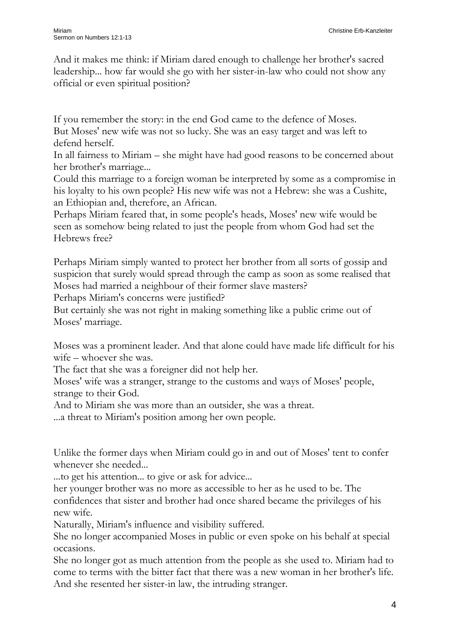And it makes me think: if Miriam dared enough to challenge her brother's sacred leadership... how far would she go with her sister-in-law who could not show any official or even spiritual position?

If you remember the story: in the end God came to the defence of Moses. But Moses' new wife was not so lucky. She was an easy target and was left to defend herself.

In all fairness to Miriam – she might have had good reasons to be concerned about her brother's marriage...

Could this marriage to a foreign woman be interpreted by some as a compromise in his loyalty to his own people? His new wife was not a Hebrew: she was a Cushite, an Ethiopian and, therefore, an African.

Perhaps Miriam feared that, in some people's heads, Moses' new wife would be seen as somehow being related to just the people from whom God had set the Hebrews free?

Perhaps Miriam simply wanted to protect her brother from all sorts of gossip and suspicion that surely would spread through the camp as soon as some realised that Moses had married a neighbour of their former slave masters?

Perhaps Miriam's concerns were justified?

But certainly she was not right in making something like a public crime out of Moses' marriage.

Moses was a prominent leader. And that alone could have made life difficult for his wife – whoever she was.

The fact that she was a foreigner did not help her.

Moses' wife was a stranger, strange to the customs and ways of Moses' people, strange to their God.

And to Miriam she was more than an outsider, she was a threat.

...a threat to Miriam's position among her own people.

Unlike the former days when Miriam could go in and out of Moses' tent to confer whenever she needed...

...to get his attention... to give or ask for advice...

her younger brother was no more as accessible to her as he used to be. The confidences that sister and brother had once shared became the privileges of his new wife.

Naturally, Miriam's influence and visibility suffered.

She no longer accompanied Moses in public or even spoke on his behalf at special occasions.

She no longer got as much attention from the people as she used to. Miriam had to come to terms with the bitter fact that there was a new woman in her brother's life. And she resented her sister-in law, the intruding stranger.